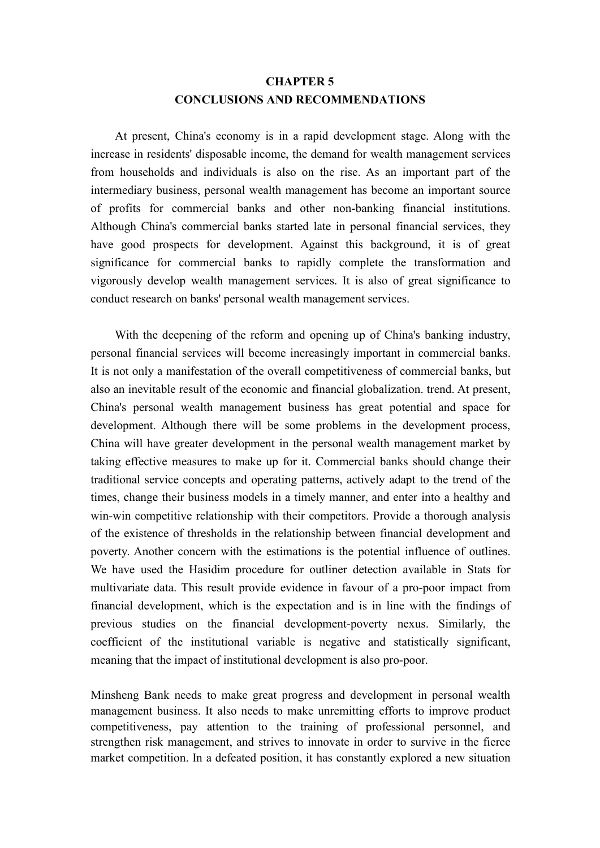## **CHAPTER 5 CONCLUSIONS AND RECOMMENDATIONS**

At present, China's economy is in a rapid development stage. Along with the increase in residents' disposable income, the demand for wealth management services from households and individuals is also on the rise. As an important part of the intermediary business, personal wealth management has become an important source of profits for commercial banks and other non-banking financial institutions. Although China's commercial banks started late in personal financial services, they have good prospects for development. Against this background, it is of great significance for commercial banks to rapidly complete the transformation and vigorously develop wealth management services. It is also of great significance to conduct research on banks' personal wealth management services.

With the deepening of the reform and opening up of China's banking industry, personal financial services will become increasingly important in commercial banks. It is not only a manifestation of the overall competitiveness of commercial banks, but also an inevitable result of the economic and financial globalization. trend. At present, China's personal wealth management business has great potential and space for development. Although there will be some problems in the development process, China will have greater development in the personal wealth management market by taking effective measures to make up for it. Commercial banks should change their traditional service concepts and operating patterns, actively adapt to the trend of the times, change their business models in a timely manner, and enter into a healthy and win-win competitive relationship with their competitors. Provide a thorough analysis of the existence of thresholds in the relationship between financial development and poverty. Another concern with the estimations is the potential influence of outlines. We have used the Hasidim procedure for outliner detection available in Stats for multivariate data. This result provide evidence in favour of a pro-poor impact from financial development, which is the expectation and is in line with the findings of previous studies on the financial development-poverty nexus. Similarly, the coefficient of the institutional variable is negative and statistically significant, meaning that the impact of institutional development is also pro-poor.

Minsheng Bank needs to make great progress and development in personal wealth management business. It also needs to make unremitting efforts to improve product competitiveness, pay attention to the training of professional personnel, and strengthen risk management, and strives to innovate in order to survive in the fierce market competition. In a defeated position, it has constantly explored a new situation